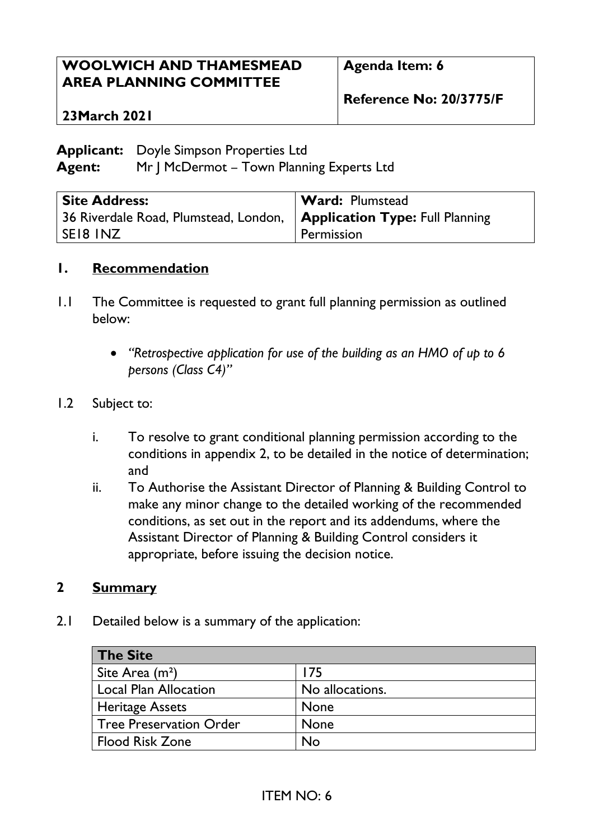### **WOOLWICH AND THAMESMEAD AREA PLANNING COMMITTEE**

**Agenda Item: 6**

**Reference No: 20/3775/F**

#### **23March 2021**

**Applicant:** Doyle Simpson Properties Ltd

**Agent:** Mr J McDermot – Town Planning Experts Ltd

| <b>Site Address:</b>                                                    | <b>Ward: Plumstead</b> |
|-------------------------------------------------------------------------|------------------------|
| 36 Riverdale Road, Plumstead, London,   Application Type: Full Planning |                        |
| SEI8 INZ                                                                | Permission             |

#### **1. Recommendation**

- 1.1 The Committee is requested to grant full planning permission as outlined below:
	- *"Retrospective application for use of the building as an HMO of up to 6 persons (Class C4)"*

#### 1.2 Subject to:

- i. To resolve to grant conditional planning permission according to the conditions in appendix 2, to be detailed in the notice of determination; and
- ii. To Authorise the Assistant Director of Planning & Building Control to make any minor change to the detailed working of the recommended conditions, as set out in the report and its addendums, where the Assistant Director of Planning & Building Control considers it appropriate, before issuing the decision notice.

#### **2 Summary**

2.1 Detailed below is a summary of the application:

| The Site                |                 |
|-------------------------|-----------------|
| Site Area $(m2)$        | 175             |
| Local Plan Allocation   | No allocations. |
| <b>Heritage Assets</b>  | <b>None</b>     |
| Tree Preservation Order | <b>None</b>     |
| l Flood Risk Zone       | No              |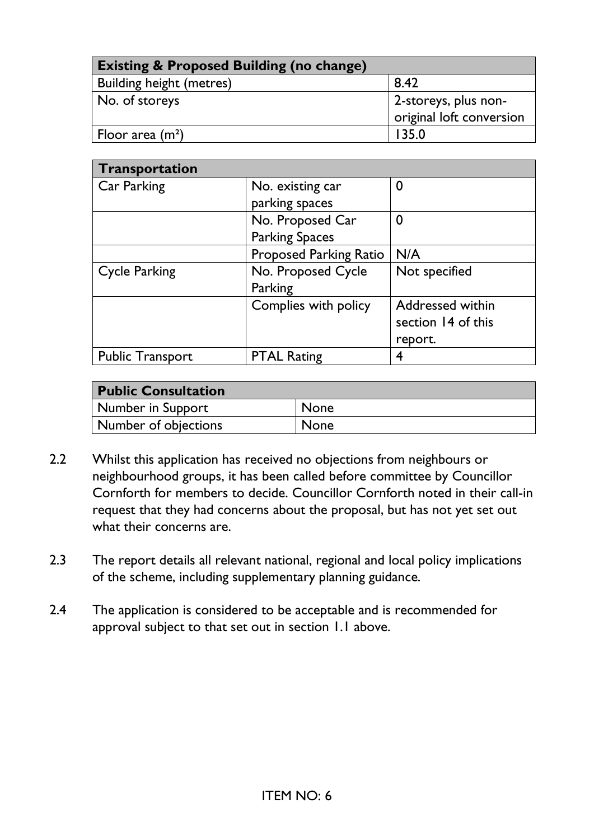| <b>Existing &amp; Proposed Building (no change)</b> |                                                  |  |
|-----------------------------------------------------|--------------------------------------------------|--|
| <b>Building height (metres)</b>                     | 8.42                                             |  |
| No. of storeys                                      | 2-storeys, plus non-<br>original loft conversion |  |
| Floor area $(m^2)$                                  | 135.0                                            |  |

| Transportation          |                               |                         |
|-------------------------|-------------------------------|-------------------------|
| Car Parking             | No. existing car              | 0                       |
|                         | parking spaces                |                         |
|                         | No. Proposed Car              | $\boldsymbol{0}$        |
|                         | <b>Parking Spaces</b>         |                         |
|                         | <b>Proposed Parking Ratio</b> | N/A                     |
| <b>Cycle Parking</b>    | No. Proposed Cycle            | Not specified           |
|                         | Parking                       |                         |
|                         | Complies with policy          | <b>Addressed within</b> |
|                         |                               | section 14 of this      |
|                         |                               | report.                 |
| <b>Public Transport</b> | <b>PTAL Rating</b>            | 4                       |

| <b>Public Consultation</b> |             |
|----------------------------|-------------|
| Number in Support          | <b>None</b> |
| Number of objections       | <b>None</b> |

- 2.2 Whilst this application has received no objections from neighbours or neighbourhood groups, it has been called before committee by Councillor Cornforth for members to decide. Councillor Cornforth noted in their call-in request that they had concerns about the proposal, but has not yet set out what their concerns are.
- 2.3 The report details all relevant national, regional and local policy implications of the scheme, including supplementary planning guidance.
- 2.4 The application is considered to be acceptable and is recommended for approval subject to that set out in section 1.1 above.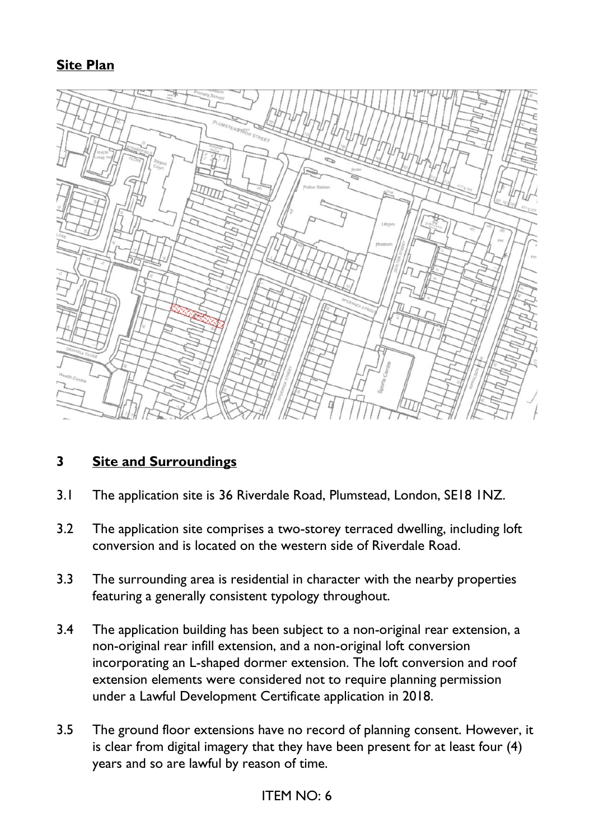### **Site Plan**



### **3 Site and Surroundings**

- 3.1 The application site is 36 Riverdale Road, Plumstead, London, SE18 1NZ.
- 3.2 The application site comprises a two-storey terraced dwelling, including loft conversion and is located on the western side of Riverdale Road.
- 3.3 The surrounding area is residential in character with the nearby properties featuring a generally consistent typology throughout.
- 3.4 The application building has been subject to a non-original rear extension, a non-original rear infill extension, and a non-original loft conversion incorporating an L-shaped dormer extension. The loft conversion and roof extension elements were considered not to require planning permission under a Lawful Development Certificate application in 2018.
- 3.5 The ground floor extensions have no record of planning consent. However, it is clear from digital imagery that they have been present for at least four (4) years and so are lawful by reason of time.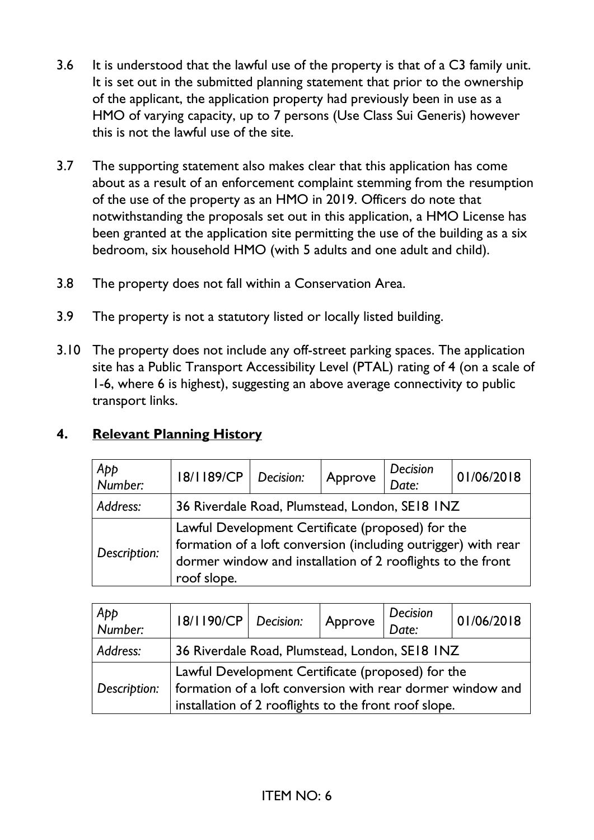- 3.6 It is understood that the lawful use of the property is that of a C3 family unit. It is set out in the submitted planning statement that prior to the ownership of the applicant, the application property had previously been in use as a HMO of varying capacity, up to 7 persons (Use Class Sui Generis) however this is not the lawful use of the site.
- 3.7 The supporting statement also makes clear that this application has come about as a result of an enforcement complaint stemming from the resumption of the use of the property as an HMO in 2019. Officers do note that notwithstanding the proposals set out in this application, a HMO License has been granted at the application site permitting the use of the building as a six bedroom, six household HMO (with 5 adults and one adult and child).
- 3.8 The property does not fall within a Conservation Area.
- 3.9 The property is not a statutory listed or locally listed building.
- 3.10 The property does not include any off-street parking spaces. The application site has a Public Transport Accessibility Level (PTAL) rating of 4 (on a scale of 1-6, where 6 is highest), suggesting an above average connectivity to public transport links.

### **4. Relevant Planning History**

| App<br>Number: | 18/1189/CP                                                                                                                                                                                        | Decision: | Approve | Decision | 01/06/2018 |
|----------------|---------------------------------------------------------------------------------------------------------------------------------------------------------------------------------------------------|-----------|---------|----------|------------|
| Address:       | 36 Riverdale Road, Plumstead, London, SE18 INZ                                                                                                                                                    |           |         |          |            |
| Description:   | Lawful Development Certificate (proposed) for the<br>formation of a loft conversion (including outrigger) with rear<br>dormer window and installation of 2 rooflights to the front<br>roof slope. |           |         |          |            |

| App<br>Number: | 18/1190/CP                                                 | Decision: | Approve | <b>Decision</b><br>Date: | 01/06/2018 |
|----------------|------------------------------------------------------------|-----------|---------|--------------------------|------------|
| Address:       | 36 Riverdale Road, Plumstead, London, SE18 INZ             |           |         |                          |            |
|                | Lawful Development Certificate (proposed) for the          |           |         |                          |            |
| Description:   | formation of a loft conversion with rear dormer window and |           |         |                          |            |
|                | installation of 2 rooflights to the front roof slope.      |           |         |                          |            |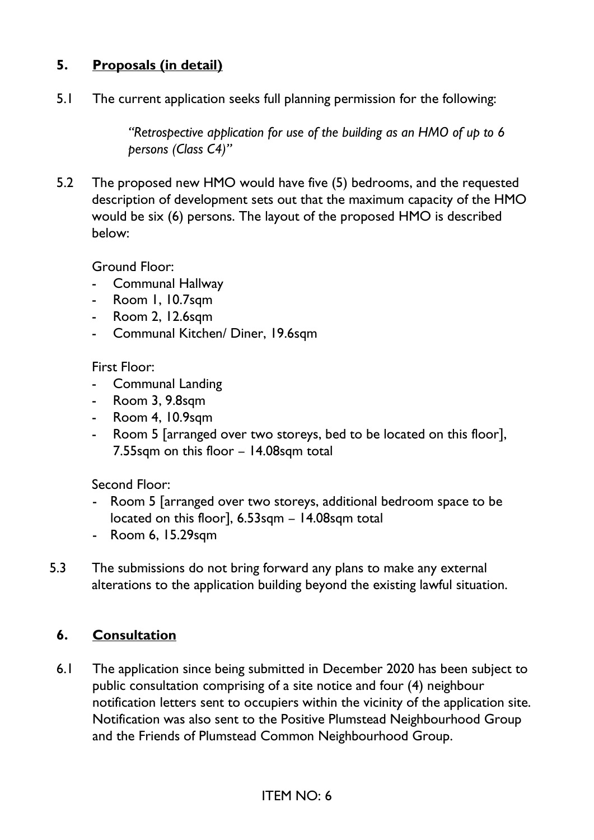### **5. Proposals (in detail)**

5.1 The current application seeks full planning permission for the following:

*"Retrospective application for use of the building as an HMO of up to 6 persons (Class C4)"*

5.2 The proposed new HMO would have five (5) bedrooms, and the requested description of development sets out that the maximum capacity of the HMO would be six (6) persons. The layout of the proposed HMO is described below:

Ground Floor:

- Communal Hallway
- Room 1, 10.7sqm
- Room 2, 12.6sqm
- Communal Kitchen/ Diner, 19.6sqm

First Floor:

- Communal Landing
- Room 3, 9.8sqm
- Room 4, 10.9sqm
- Room 5 [arranged over two storeys, bed to be located on this floor], 7.55sqm on this floor – 14.08sqm total

Second Floor:

- Room 5 [arranged over two storeys, additional bedroom space to be located on this floor], 6.53sqm – 14.08sqm total
- Room 6, 15.29sqm
- 5.3 The submissions do not bring forward any plans to make any external alterations to the application building beyond the existing lawful situation.

### **6. Consultation**

6.1 The application since being submitted in December 2020 has been subject to public consultation comprising of a site notice and four (4) neighbour notification letters sent to occupiers within the vicinity of the application site. Notification was also sent to the Positive Plumstead Neighbourhood Group and the Friends of Plumstead Common Neighbourhood Group.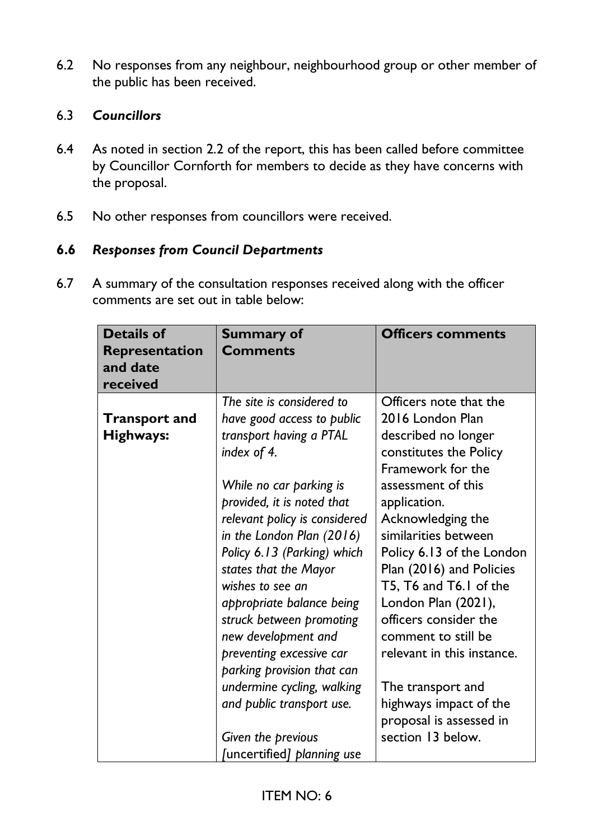6.2 No responses from any neighbour, neighbourhood group or other member of the public has been received.

#### 6.3 *Councillors*

- 6.4 As noted in section 2.2 of the report, this has been called before committee by Councillor Cornforth for members to decide as they have concerns with the proposal.
- 6.5 No other responses from councillors were received.

#### **6.6** *Responses from Council Departments*

6.7 A summary of the consultation responses received along with the officer comments are set out in table below:

| <b>Details of</b><br>Representation<br>and date<br>received | <b>Summary of</b><br><b>Comments</b>                                                                                                                                                                                                                                                                                                                                                                                                                                                                                                                          | <b>Officers comments</b>                                                                                                                                                                                                                                                                                                                                                                                                                                                                   |
|-------------------------------------------------------------|---------------------------------------------------------------------------------------------------------------------------------------------------------------------------------------------------------------------------------------------------------------------------------------------------------------------------------------------------------------------------------------------------------------------------------------------------------------------------------------------------------------------------------------------------------------|--------------------------------------------------------------------------------------------------------------------------------------------------------------------------------------------------------------------------------------------------------------------------------------------------------------------------------------------------------------------------------------------------------------------------------------------------------------------------------------------|
| <b>Transport and</b><br>Highways:                           | The site is considered to<br>have good access to public<br>transport having a PTAL<br>index of 4.<br>While no car parking is<br>provided, it is noted that<br>relevant policy is considered<br>in the London Plan (2016)<br>Policy 6.13 (Parking) which<br>states that the Mayor<br>wishes to see an<br>appropriate balance being<br>struck between promoting<br>new development and<br>preventing excessive car<br>parking provision that can<br>undermine cycling, walking<br>and public transport use.<br>Given the previous<br>[uncertified] planning use | Officers note that the<br>2016 London Plan<br>described no longer<br>constitutes the Policy<br>Framework for the<br>assessment of this<br>application.<br>Acknowledging the<br>similarities between<br>Policy 6.13 of the London<br>Plan (2016) and Policies<br>T5, T6 and T6.1 of the<br>London Plan (2021),<br>officers consider the<br>comment to still be<br>relevant in this instance.<br>The transport and<br>highways impact of the<br>proposal is assessed in<br>section 13 below. |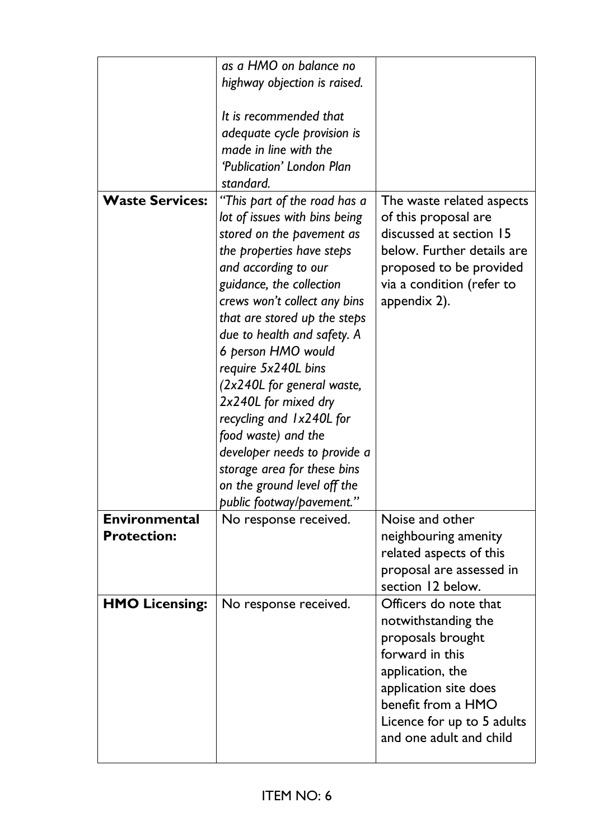|                        | as a HMO on balance no        |                            |
|------------------------|-------------------------------|----------------------------|
|                        | highway objection is raised.  |                            |
|                        |                               |                            |
|                        | It is recommended that        |                            |
|                        | adequate cycle provision is   |                            |
|                        | made in line with the         |                            |
|                        | 'Publication' London Plan     |                            |
|                        | standard.                     |                            |
| <b>Waste Services:</b> | "This part of the road has a  | The waste related aspects  |
|                        | lot of issues with bins being | of this proposal are       |
|                        | stored on the pavement as     | discussed at section 15    |
|                        | the properties have steps     | below. Further details are |
|                        | and according to our          | proposed to be provided    |
|                        | guidance, the collection      | via a condition (refer to  |
|                        | crews won't collect any bins  | appendix 2).               |
|                        | that are stored up the steps  |                            |
|                        | due to health and safety. A   |                            |
|                        | 6 person HMO would            |                            |
|                        | require 5x240L bins           |                            |
|                        | (2x240L for general waste,    |                            |
|                        | 2x240L for mixed dry          |                            |
|                        |                               |                            |
|                        | recycling and 1x240L for      |                            |
|                        | food waste) and the           |                            |
|                        | developer needs to provide a  |                            |
|                        | storage area for these bins   |                            |
|                        | on the ground level off the   |                            |
|                        | public footway/pavement."     |                            |
| <b>Environmental</b>   | No response received.         | Noise and other            |
| <b>Protection:</b>     |                               | neighbouring amenity       |
|                        |                               | related aspects of this    |
|                        |                               | proposal are assessed in   |
|                        |                               | section 12 below.          |
| <b>HMO Licensing:</b>  | No response received.         | Officers do note that      |
|                        |                               | notwithstanding the        |
|                        |                               | proposals brought          |
|                        |                               | forward in this            |
|                        |                               | application, the           |
|                        |                               | application site does      |
|                        |                               | benefit from a HMO         |
|                        |                               | Licence for up to 5 adults |
|                        |                               | and one adult and child    |
|                        |                               |                            |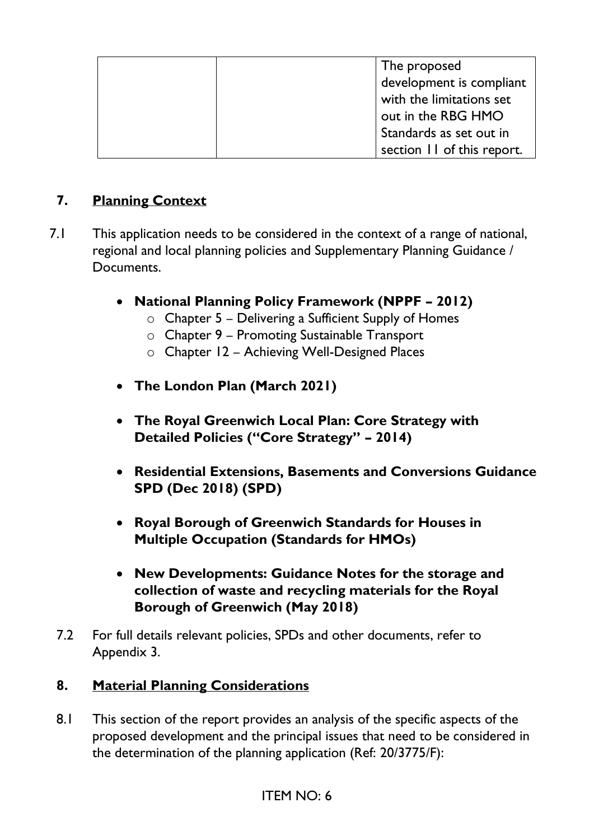| The proposed               |
|----------------------------|
| development is compliant   |
| with the limitations set   |
| out in the RBG HMO         |
| Standards as set out in    |
| section 11 of this report. |

# **7. Planning Context**

- 7.1 This application needs to be considered in the context of a range of national, regional and local planning policies and Supplementary Planning Guidance / Documents.
	- **National Planning Policy Framework (NPPF – 2012)**
		- $\circ$  Chapter 5 Delivering a Sufficient Supply of Homes
		- o Chapter 9 Promoting Sustainable Transport
		- o Chapter 12 Achieving Well-Designed Places
	- **The London Plan (March 2021)**
	- **The Royal Greenwich Local Plan: Core Strategy with Detailed Policies ("Core Strategy" – 2014)**
	- **Residential Extensions, Basements and Conversions Guidance SPD (Dec 2018) (SPD)**
	- **Royal Borough of Greenwich Standards for Houses in Multiple Occupation (Standards for HMOs)**
	- **New Developments: Guidance Notes for the storage and collection of waste and recycling materials for the Royal Borough of Greenwich (May 2018)**
	- 7.2 For full details relevant policies, SPDs and other documents, refer to Appendix 3.

### **8. Material Planning Considerations**

8.1 This section of the report provides an analysis of the specific aspects of the proposed development and the principal issues that need to be considered in the determination of the planning application (Ref: 20/3775/F):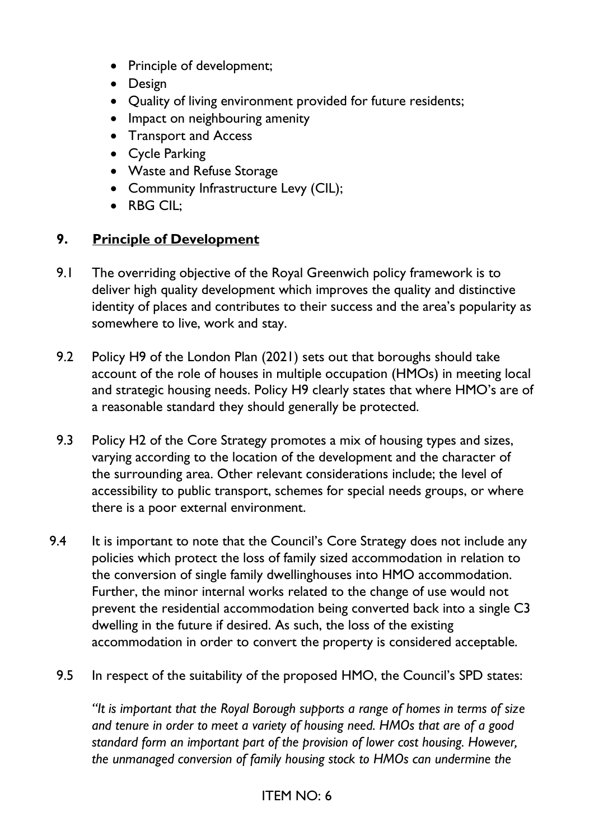- Principle of development;
- Design
- Quality of living environment provided for future residents;
- Impact on neighbouring amenity
- Transport and Access
- Cycle Parking
- Waste and Refuse Storage
- Community Infrastructure Levy (CIL);
- RBG CIL:

## **9. Principle of Development**

- 9.1 The overriding objective of the Royal Greenwich policy framework is to deliver high quality development which improves the quality and distinctive identity of places and contributes to their success and the area's popularity as somewhere to live, work and stay.
- 9.2 Policy H9 of the London Plan (2021) sets out that boroughs should take account of the role of houses in multiple occupation (HMOs) in meeting local and strategic housing needs. Policy H9 clearly states that where HMO's are of a reasonable standard they should generally be protected.
- 9.3 Policy H2 of the Core Strategy promotes a mix of housing types and sizes, varying according to the location of the development and the character of the surrounding area. Other relevant considerations include; the level of accessibility to public transport, schemes for special needs groups, or where there is a poor external environment.
- 9.4 It is important to note that the Council's Core Strategy does not include any policies which protect the loss of family sized accommodation in relation to the conversion of single family dwellinghouses into HMO accommodation. Further, the minor internal works related to the change of use would not prevent the residential accommodation being converted back into a single C3 dwelling in the future if desired. As such, the loss of the existing accommodation in order to convert the property is considered acceptable.
	- 9.5 In respect of the suitability of the proposed HMO, the Council's SPD states:

*"It is important that the Royal Borough supports a range of homes in terms of size and tenure in order to meet a variety of housing need. HMOs that are of a good standard form an important part of the provision of lower cost housing. However, the unmanaged conversion of family housing stock to HMOs can undermine the*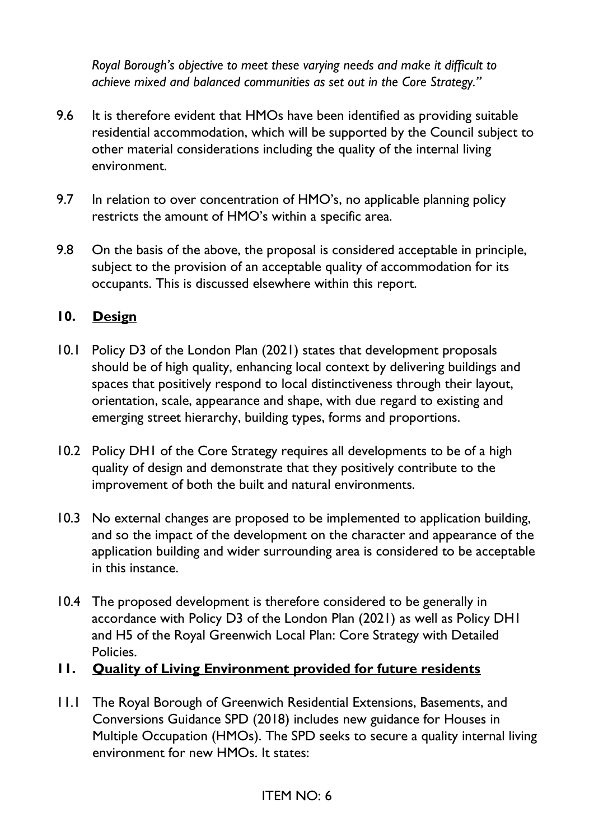*Royal Borough's objective to meet these varying needs and make it difficult to achieve mixed and balanced communities as set out in the Core Strategy."*

- 9.6 It is therefore evident that HMOs have been identified as providing suitable residential accommodation, which will be supported by the Council subject to other material considerations including the quality of the internal living environment.
- 9.7 In relation to over concentration of HMO's, no applicable planning policy restricts the amount of HMO's within a specific area.
- 9.8 On the basis of the above, the proposal is considered acceptable in principle, subject to the provision of an acceptable quality of accommodation for its occupants. This is discussed elsewhere within this report.

### **10. Design**

- 10.1 Policy D3 of the London Plan (2021) states that development proposals should be of high quality, enhancing local context by delivering buildings and spaces that positively respond to local distinctiveness through their layout, orientation, scale, appearance and shape, with due regard to existing and emerging street hierarchy, building types, forms and proportions.
- 10.2 Policy DH1 of the Core Strategy requires all developments to be of a high quality of design and demonstrate that they positively contribute to the improvement of both the built and natural environments.
- 10.3 No external changes are proposed to be implemented to application building, and so the impact of the development on the character and appearance of the application building and wider surrounding area is considered to be acceptable in this instance.
- 10.4 The proposed development is therefore considered to be generally in accordance with Policy D3 of the London Plan (2021) as well as Policy DH1 and H5 of the Royal Greenwich Local Plan: Core Strategy with Detailed Policies.
- **11. Quality of Living Environment provided for future residents**
- 11.1 The Royal Borough of Greenwich Residential Extensions, Basements, and Conversions Guidance SPD (2018) includes new guidance for Houses in Multiple Occupation (HMOs). The SPD seeks to secure a quality internal living environment for new HMOs. It states: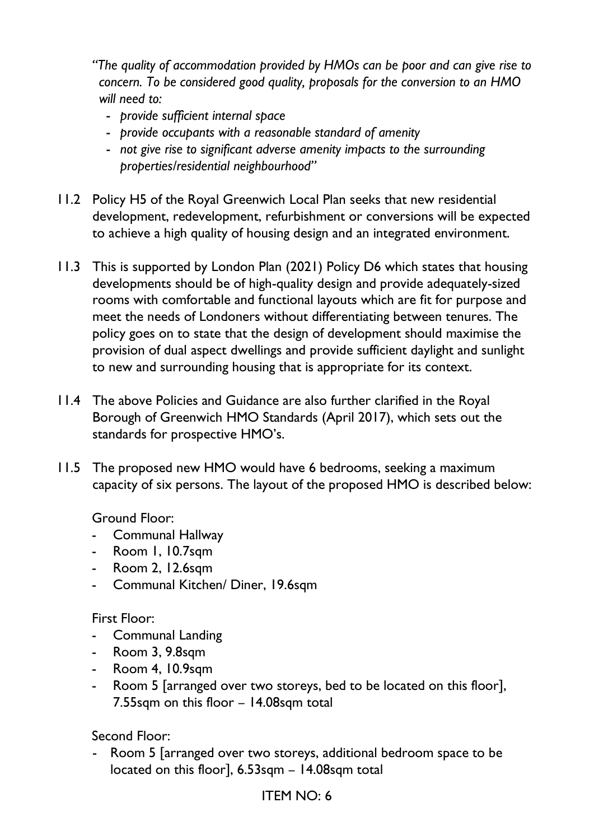*"The quality of accommodation provided by HMOs can be poor and can give rise to concern. To be considered good quality, proposals for the conversion to an HMO will need to:*

- *provide sufficient internal space*
- *provide occupants with a reasonable standard of amenity*
- *not give rise to significant adverse amenity impacts to the surrounding properties/residential neighbourhood"*
- 11.2 Policy H5 of the Royal Greenwich Local Plan seeks that new residential development, redevelopment, refurbishment or conversions will be expected to achieve a high quality of housing design and an integrated environment.
- 11.3 This is supported by London Plan (2021) Policy D6 which states that housing developments should be of high-quality design and provide adequately-sized rooms with comfortable and functional layouts which are fit for purpose and meet the needs of Londoners without differentiating between tenures. The policy goes on to state that the design of development should maximise the provision of dual aspect dwellings and provide sufficient daylight and sunlight to new and surrounding housing that is appropriate for its context.
- 11.4 The above Policies and Guidance are also further clarified in the Royal Borough of Greenwich HMO Standards (April 2017), which sets out the standards for prospective HMO's.
- 11.5 The proposed new HMO would have 6 bedrooms, seeking a maximum capacity of six persons. The layout of the proposed HMO is described below:

Ground Floor:

- Communal Hallway
- Room 1, 10.7sqm
- Room 2, 12.6sqm
- Communal Kitchen/ Diner, 19.6sqm

First Floor:

- Communal Landing
- Room 3, 9.8sqm
- Room 4, 10.9sqm
- Room 5 [arranged over two storeys, bed to be located on this floor], 7.55sqm on this floor – 14.08sqm total

Second Floor:

- Room 5 [arranged over two storeys, additional bedroom space to be located on this floor], 6.53sqm – 14.08sqm total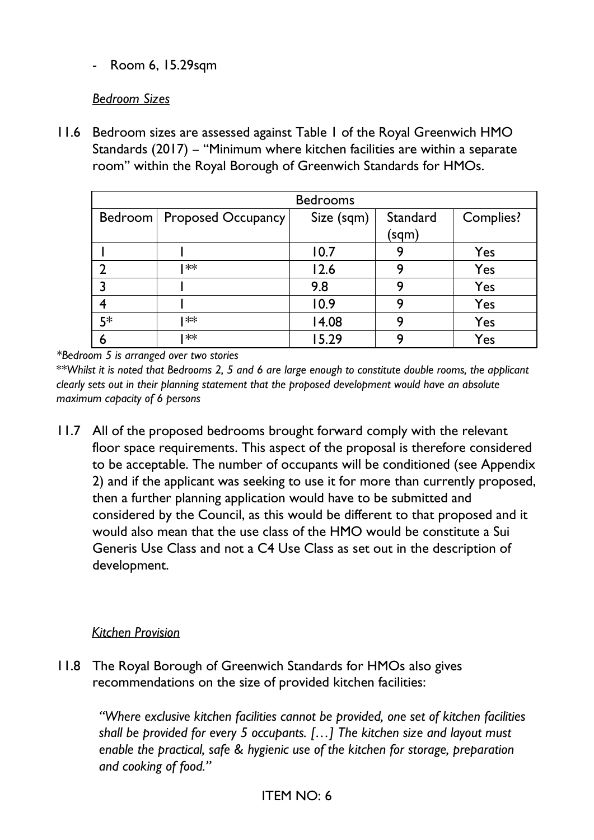- Room 6, 15.29sqm

#### *Bedroom Sizes*

11.6 Bedroom sizes are assessed against Table 1 of the Royal Greenwich HMO Standards (2017) – "Minimum where kitchen facilities are within a separate room" within the Royal Borough of Greenwich Standards for HMOs.

|      |                              | <b>Bedrooms</b> |                   |           |
|------|------------------------------|-----------------|-------------------|-----------|
|      | Bedroom   Proposed Occupancy | Size (sqm)      | Standard<br>(sqm) | Complies? |
|      |                              | 10.7            | g                 | Yes       |
|      | **                           | 12.6            | q                 | Yes       |
|      |                              | 9.8             | 9                 | Yes       |
|      |                              | 10.9            | 9                 | Yes       |
| $5*$ | **                           | 14.08           | 9                 | Yes       |
| O    | **                           | 15.29           | Q                 | Yes       |

*\*Bedroom 5 is arranged over two stories*

*\*\*Whilst it is noted that Bedrooms 2, 5 and 6 are large enough to constitute double rooms, the applicant clearly sets out in their planning statement that the proposed development would have an absolute maximum capacity of 6 persons*

11.7 All of the proposed bedrooms brought forward comply with the relevant floor space requirements. This aspect of the proposal is therefore considered to be acceptable. The number of occupants will be conditioned (see Appendix 2) and if the applicant was seeking to use it for more than currently proposed, then a further planning application would have to be submitted and considered by the Council, as this would be different to that proposed and it would also mean that the use class of the HMO would be constitute a Sui Generis Use Class and not a C4 Use Class as set out in the description of development.

#### *Kitchen Provision*

11.8 The Royal Borough of Greenwich Standards for HMOs also gives recommendations on the size of provided kitchen facilities:

> *"Where exclusive kitchen facilities cannot be provided, one set of kitchen facilities shall be provided for every 5 occupants. […] The kitchen size and layout must enable the practical, safe & hygienic use of the kitchen for storage, preparation and cooking of food."*

#### ITEM NO: 6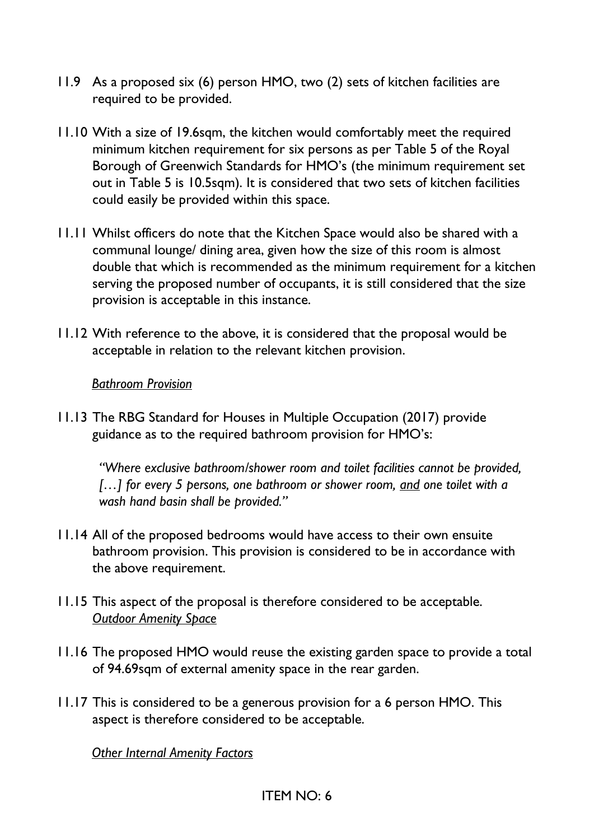- 11.9 As a proposed six (6) person HMO, two (2) sets of kitchen facilities are required to be provided.
- 11.10 With a size of 19.6sqm, the kitchen would comfortably meet the required minimum kitchen requirement for six persons as per Table 5 of the Royal Borough of Greenwich Standards for HMO's (the minimum requirement set out in Table 5 is 10.5sqm). It is considered that two sets of kitchen facilities could easily be provided within this space.
- 11.11 Whilst officers do note that the Kitchen Space would also be shared with a communal lounge/ dining area, given how the size of this room is almost double that which is recommended as the minimum requirement for a kitchen serving the proposed number of occupants, it is still considered that the size provision is acceptable in this instance.
- 11.12 With reference to the above, it is considered that the proposal would be acceptable in relation to the relevant kitchen provision.

#### *Bathroom Provision*

11.13 The RBG Standard for Houses in Multiple Occupation (2017) provide guidance as to the required bathroom provision for HMO's:

*"Where exclusive bathroom/shower room and toilet facilities cannot be provided, […] for every 5 persons, one bathroom or shower room, and one toilet with a wash hand basin shall be provided."*

- 11.14 All of the proposed bedrooms would have access to their own ensuite bathroom provision. This provision is considered to be in accordance with the above requirement.
- 11.15 This aspect of the proposal is therefore considered to be acceptable. *Outdoor Amenity Space*
- 11.16 The proposed HMO would reuse the existing garden space to provide a total of 94.69sqm of external amenity space in the rear garden.
- 11.17 This is considered to be a generous provision for a 6 person HMO. This aspect is therefore considered to be acceptable.

*Other Internal Amenity Factors*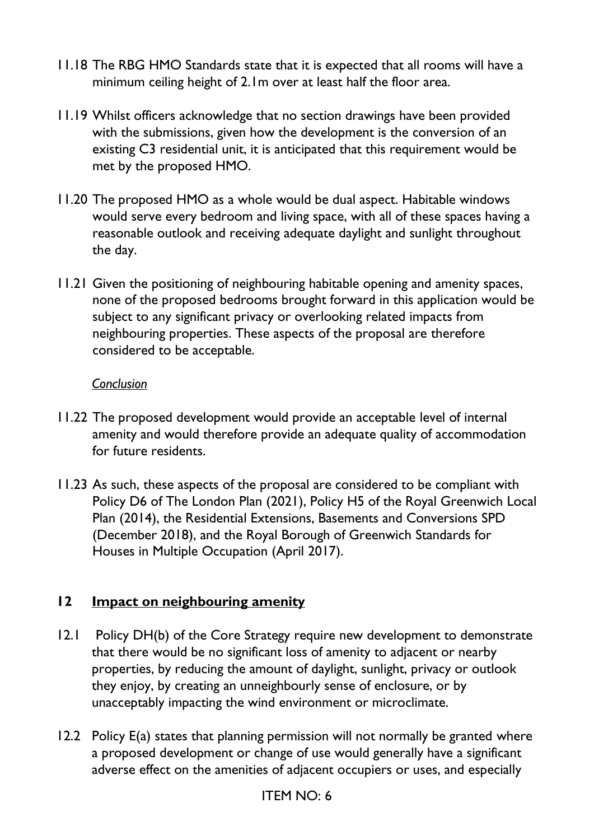- 11.18 The RBG HMO Standards state that it is expected that all rooms will have a minimum ceiling height of 2.1m over at least half the floor area.
- 11.19 Whilst officers acknowledge that no section drawings have been provided with the submissions, given how the development is the conversion of an existing C3 residential unit, it is anticipated that this requirement would be met by the proposed HMO.
- 11.20 The proposed HMO as a whole would be dual aspect. Habitable windows would serve every bedroom and living space, with all of these spaces having a reasonable outlook and receiving adequate daylight and sunlight throughout the day.
- 11.21 Given the positioning of neighbouring habitable opening and amenity spaces, none of the proposed bedrooms brought forward in this application would be subject to any significant privacy or overlooking related impacts from neighbouring properties. These aspects of the proposal are therefore considered to be acceptable.

#### *Conclusion*

- 11.22 The proposed development would provide an acceptable level of internal amenity and would therefore provide an adequate quality of accommodation for future residents.
- 11.23 As such, these aspects of the proposal are considered to be compliant with Policy D6 of The London Plan (2021), Policy H5 of the Royal Greenwich Local Plan (2014), the Residential Extensions, Basements and Conversions SPD (December 2018), and the Royal Borough of Greenwich Standards for Houses in Multiple Occupation (April 2017).

#### **12 Impact on neighbouring amenity**

- 12.1 Policy DH(b) of the Core Strategy require new development to demonstrate that there would be no significant loss of amenity to adjacent or nearby properties, by reducing the amount of daylight, sunlight, privacy or outlook they enjoy, by creating an unneighbourly sense of enclosure, or by unacceptably impacting the wind environment or microclimate.
- 12.2 Policy E(a) states that planning permission will not normally be granted where a proposed development or change of use would generally have a significant adverse effect on the amenities of adjacent occupiers or uses, and especially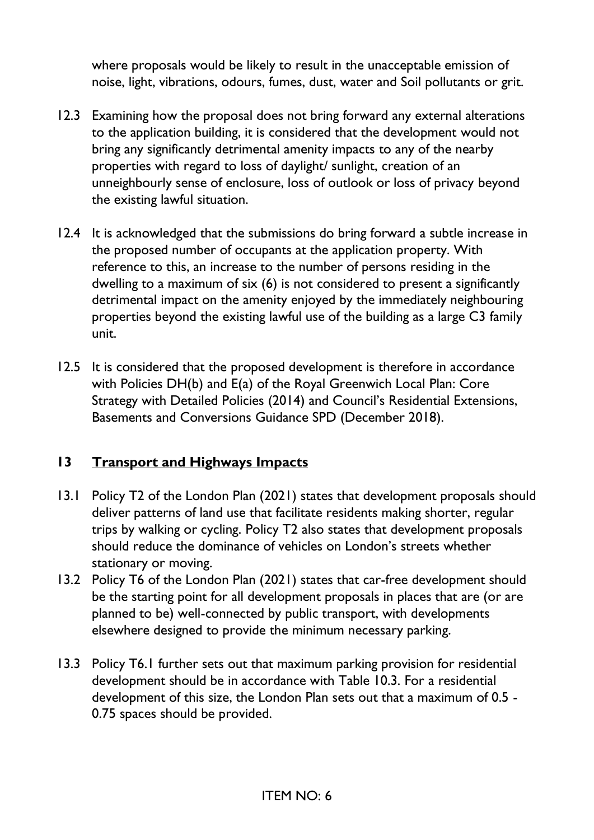where proposals would be likely to result in the unacceptable emission of noise, light, vibrations, odours, fumes, dust, water and Soil pollutants or grit.

- 12.3 Examining how the proposal does not bring forward any external alterations to the application building, it is considered that the development would not bring any significantly detrimental amenity impacts to any of the nearby properties with regard to loss of daylight/ sunlight, creation of an unneighbourly sense of enclosure, loss of outlook or loss of privacy beyond the existing lawful situation.
- 12.4 It is acknowledged that the submissions do bring forward a subtle increase in the proposed number of occupants at the application property. With reference to this, an increase to the number of persons residing in the dwelling to a maximum of six (6) is not considered to present a significantly detrimental impact on the amenity enjoyed by the immediately neighbouring properties beyond the existing lawful use of the building as a large C3 family unit.
- 12.5 It is considered that the proposed development is therefore in accordance with Policies DH(b) and E(a) of the Royal Greenwich Local Plan: Core Strategy with Detailed Policies (2014) and Council's Residential Extensions, Basements and Conversions Guidance SPD (December 2018).

### **13 Transport and Highways Impacts**

- 13.1 Policy T2 of the London Plan (2021) states that development proposals should deliver patterns of land use that facilitate residents making shorter, regular trips by walking or cycling. Policy T2 also states that development proposals should reduce the dominance of vehicles on London's streets whether stationary or moving.
- 13.2 Policy T6 of the London Plan (2021) states that car-free development should be the starting point for all development proposals in places that are (or are planned to be) well-connected by public transport, with developments elsewhere designed to provide the minimum necessary parking.
- 13.3 Policy T6.1 further sets out that maximum parking provision for residential development should be in accordance with Table 10.3. For a residential development of this size, the London Plan sets out that a maximum of 0.5 - 0.75 spaces should be provided.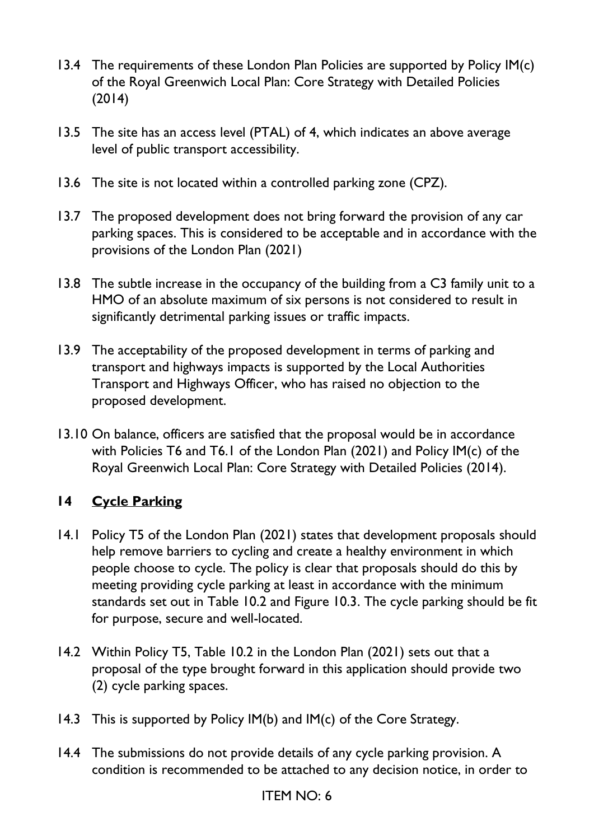- 13.4 The requirements of these London Plan Policies are supported by Policy IM(c) of the Royal Greenwich Local Plan: Core Strategy with Detailed Policies (2014)
- 13.5 The site has an access level (PTAL) of 4, which indicates an above average level of public transport accessibility.
- 13.6 The site is not located within a controlled parking zone (CPZ).
- 13.7 The proposed development does not bring forward the provision of any car parking spaces. This is considered to be acceptable and in accordance with the provisions of the London Plan (2021)
- 13.8 The subtle increase in the occupancy of the building from a C3 family unit to a HMO of an absolute maximum of six persons is not considered to result in significantly detrimental parking issues or traffic impacts.
- 13.9 The acceptability of the proposed development in terms of parking and transport and highways impacts is supported by the Local Authorities Transport and Highways Officer, who has raised no objection to the proposed development.
- 13.10 On balance, officers are satisfied that the proposal would be in accordance with Policies T6 and T6.1 of the London Plan (2021) and Policy IM(c) of the Royal Greenwich Local Plan: Core Strategy with Detailed Policies (2014).

# **14 Cycle Parking**

- 14.1 Policy T5 of the London Plan (2021) states that development proposals should help remove barriers to cycling and create a healthy environment in which people choose to cycle. The policy is clear that proposals should do this by meeting providing cycle parking at least in accordance with the minimum standards set out in Table 10.2 and Figure 10.3. The cycle parking should be fit for purpose, secure and well-located.
- 14.2 Within Policy T5, Table 10.2 in the London Plan (2021) sets out that a proposal of the type brought forward in this application should provide two (2) cycle parking spaces.
- 14.3 This is supported by Policy IM(b) and IM(c) of the Core Strategy.
- 14.4 The submissions do not provide details of any cycle parking provision. A condition is recommended to be attached to any decision notice, in order to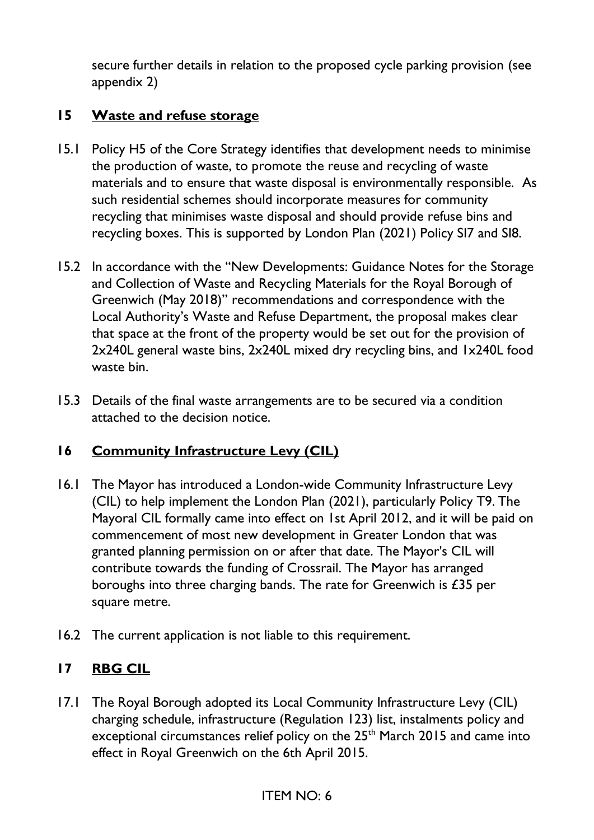secure further details in relation to the proposed cycle parking provision (see appendix 2)

### **15 Waste and refuse storage**

- 15.1 Policy H5 of the Core Strategy identifies that development needs to minimise the production of waste, to promote the reuse and recycling of waste materials and to ensure that waste disposal is environmentally responsible. As such residential schemes should incorporate measures for community recycling that minimises waste disposal and should provide refuse bins and recycling boxes. This is supported by London Plan (2021) Policy SI7 and SI8.
- 15.2 In accordance with the "New Developments: Guidance Notes for the Storage and Collection of Waste and Recycling Materials for the Royal Borough of Greenwich (May 2018)" recommendations and correspondence with the Local Authority's Waste and Refuse Department, the proposal makes clear that space at the front of the property would be set out for the provision of 2x240L general waste bins, 2x240L mixed dry recycling bins, and 1x240L food waste bin.
- 15.3 Details of the final waste arrangements are to be secured via a condition attached to the decision notice.

### **16 Community Infrastructure Levy (CIL)**

- 16.1 The Mayor has introduced a London-wide Community Infrastructure Levy (CIL) to help implement the London Plan (2021), particularly Policy T9. The Mayoral CIL formally came into effect on 1st April 2012, and it will be paid on commencement of most new development in Greater London that was granted planning permission on or after that date. The Mayor's CIL will contribute towards the funding of Crossrail. The Mayor has arranged boroughs into three charging bands. The rate for Greenwich is £35 per square metre.
- 16.2 The current application is not liable to this requirement.

### **17 RBG CIL**

17.1 The Royal Borough adopted its Local Community Infrastructure Levy (CIL) charging schedule, infrastructure (Regulation 123) list, instalments policy and exceptional circumstances relief policy on the 25<sup>th</sup> March 2015 and came into effect in Royal Greenwich on the 6th April 2015.